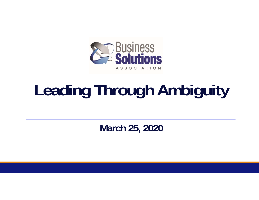

# **Leading Through Ambiguity**

**March 25, 2020**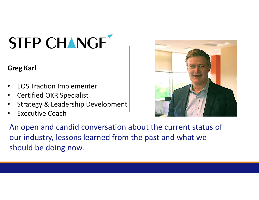# STEP CHANGE

### **Greg Karl**

- $\bullet$ EOS Traction Implementer
- •Certified OKR Specialist
- •Strategy & Leadership Development
- •Executive Coach



An open and candid conversation about the current status of our industry, lessons learned from the past and what we should be doing now.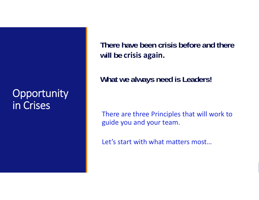# **Opportunity** in Crises

**There have been crisis before and there will be crisis again.** 

**What we always need is Leaders!**

There are three Principles that will work to guide you and your team.

Let's start with what matters most…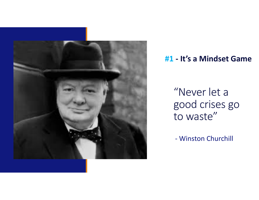

## **#1 ‐ It's a Mindset Game**

"Never let a good crises go to waste"

‐ Winston Churchill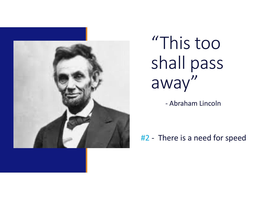

# "This too shall pass away"

‐ Abraham Lincoln

## #2 ‐ There is a need for speed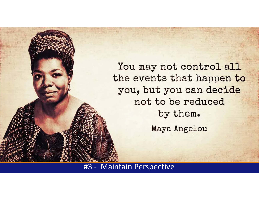You may not control all the events that happen to you, but you can decide not to be reduced by them. Maya Angelou

#3 ‐ Maintain Perspective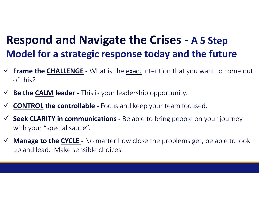# **Respond and Navigate the Crises ‐ A 5 Step Model for a strategic response today and the future**

- ◆ Frame the **CHALLENGE** What is the exact intention that you want to come out of this?
- **Be the CALM leader ‐** This is your leadership opportunity.
- $\checkmark$ **CONTROL the controllable ‐** Focus and keep your team focused.
- ◆ Seek CLARITY in communications Be able to bring people on your journey with your "special sauce".
- ◆ **Manage to the CYCLE** No matter how close the problems get, be able to look up and lead. Make sensible choices.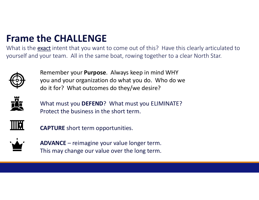## **Frame the CHALLENGE**

What is the <u>exact</u> intent that you want to come out of this? Have this clearly articulated to yourself and your team. All in the same boat, rowing together to a clear North Star.



Remember your **Purpose**. Always keep in mind WHY you and your organization do what you do. Who do we do it for? What outcomes do they/we desire?



What must you **DEFEND**? What must you ELIMINATE? Protect the business in the short term.



**CAPTURE** short term opportunities.



**ADVANCE** – reimagine your value longer term. This may change our value over the long term.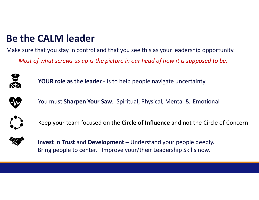## **Be the CALM leader**

Make sure that you stay in control and that you see this as your leadership opportunity. *Most of what screws us up is the picture in our head of how it is supposed to be.*



**YOUR role as the leader** ‐ Is to help people navigate uncertainty.



You must **Sharpen Your Saw**. Spiritual, Physical, Mental & Emotional



Keep your team focused on the **Circle of Influence** and not the Circle of Concern



**Invest** in **Trust** and **Development** – Understand your people deeply. Bring people to center. Improve your/their Leadership Skills now.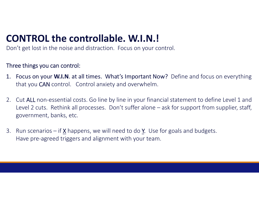# **CONTROL the controllable. W.I.N.!**

Don't get lost in the noise and distraction. Focus on your control.

#### Three things you can control:

- 1. Focus on your **W.I.N**. at all times. What's Important Now? Define and focus on everything that you CAN control. Control anxiety and overwhelm.
- 2. Cut ALL non-essential costs. Go line by line in your financial statement to define Level 1 and Level 2 cuts. Rethink all processes. Don't suffer alone – ask for support from supplier, staff, government, banks, etc.
- 3. Run scenarios if <u>X</u> happens, we will need to do <u>Y</u>. Use for goals and budgets. Have pre‐agreed triggers and alignment with your team.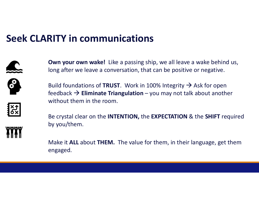## **Seek CLARITY in communications**



**Own your own wake!** Like a passing ship, we all leave a wake behind us, long after we leave a conversation, that can be positive or negative.

Build foundations of **TRUST**. Work in 100% Integrity  $\rightarrow$  Ask for open feedback **Eliminate Triangulation** – you may not talk about another without them in the room.



Be crystal clear on the **INTENTION,** the **EXPECTATION** & the **SHIFT** required by you/them.

Make it **ALL** about **THEM.** The value for them, in their language, get them engaged.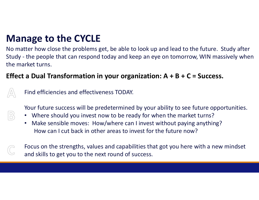# **Manage to the CYCLE**

No matter how close the problems get, be able to look up and lead to the future. Study after Study ‐ the people that can respond today and keep an eye on tomorrow, WIN massively when the market turns.

### **Effect a Dual Transformation in your organization: A + B + C = Success.**



Find efficiencies and effectiveness TODAY.

Your future success will be predetermined by your ability to see future opportunities.

- Where should you invest now to be ready for when the market turns?
- Make sensible moves: How/where can I invest without paying anything? How can I cut back in other areas to invest for the future now?
- Focus on the strengths, values and capabilities that got you here with a new mindset and skills to get you to the next round of success.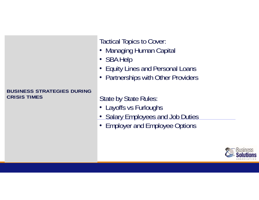#### **BUSINESS STRATEGIES DURING CRISIS TIMES**

Tactical Topics to Cover:

- Managing Human Capital
- SBA Help
- Equity Lines and Personal Loans
- Partnerships with Other Providers

### State by State Rules:

- Layoffs vs Furloughs
- Salary Employees and Job Duties
- Employer and Employee Options

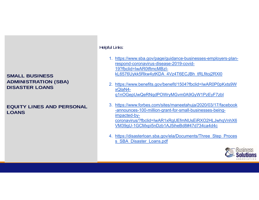#### **SMALL BUSINESS ADMINISTRATION (SBA) DISASTER LOANS**

#### **EQUITY LINES AND PERSONAL LOANS**

#### Helpful Links:

- 1. https://www.sba.gov/page/guidance-businesses-employers-planrespond-coronavirus-disease-2019-covid-19?fbclid=IwAR0tftmcMBzIkL6576Uykk5Rkw4ytKDA\_4Vz4T6ECJBh\_tRLfitoj2RXl0
- 2. https://www.benefits.gov/benefit/1504?fbclid=IwAR0P0pKxts9W xQlaN4 q1nOGepUwQeRNqdPOWryMGvm0A9GyW1PzEyF7zbI
- 3. https://www.forbes.com/sites/maneetahuja/2020/03/17/facebook -announces-100-million-grant-for-small-businesses-beingimpacted-bycoronavirus/?fbclid=IwAR1xRgUEfmNUsEiRXO2HLJwhqVnhX6 VM39gU-1GCMxpi5nDzb1AJ5iheBd8#47d734ca4d4c
- 4. https://disasterloan.sba.gov/ela/Documents/Three\_Step\_Proces s SBA Disaster Loans.pdf

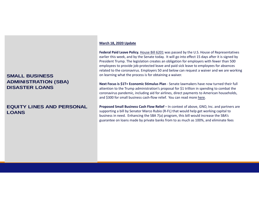#### **SMALL BUSINESS ADMINISTRATION (SBA) DISASTER LOANS**

#### **EQUITY LINES AND PERSONAL LOANS**

#### **March 18, 2020 Update**

Federal Paid Leave Policy. House Bill 6201 was passed by the U.S. House of Representatives earlier this week, and by the Senate today. It will go into effect 15 days after it is signed by President Trump. The legislation creates an obligation for employers with fewer than 500 employees to provide job-protected leave and paid sick leave to employees for absences related to the coronavirus. Employers 50 and below can request a waiver and we are working on learning what the process is for obtaining a waiver.

**Next Focus is \$1T+ Economic Stimulus Plan** ‐ Senate lawmakers have now turned their full attention to the Trump administration's proposal for \$1 trillion in spending to combat the coronavirus pandemic, including aid for airlines, direct payments to American households, and \$300 for small business cash-flow relief. You can read more here.

**Proposed Small Business Cash Flow Relief** – In context of above, GNO, Inc. and partners are supporting a bill by Senator Marco Rubio (R‐FL) that would help get working capital to business in need. Enhancing the SBA 7(a) program, this bill would increase the SBA's guarantee on loans made by private banks from to as much as 100%, and eliminate fees